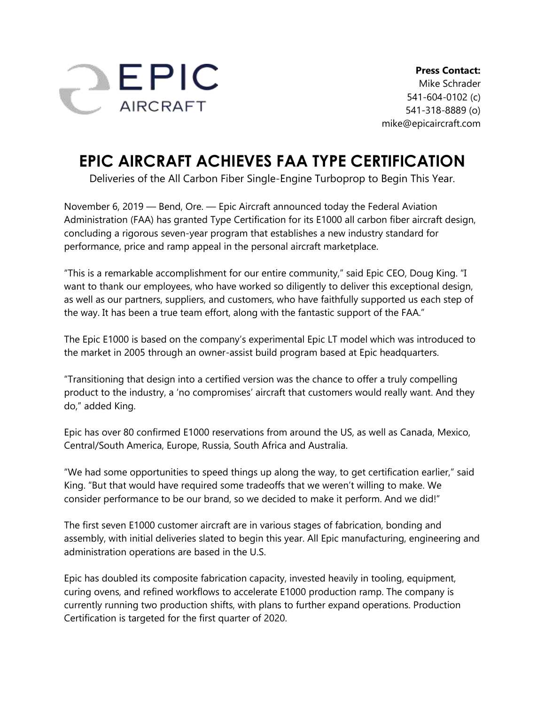

## **EPIC AIRCRAFT ACHIEVES FAA TYPE CERTIFICATION**

Deliveries of the All Carbon Fiber Single-Engine Turboprop to Begin This Year.

November 6, 2019 — Bend, Ore. — Epic Aircraft announced today the Federal Aviation Administration (FAA) has granted Type Certification for its E1000 all carbon fiber aircraft design, concluding a rigorous seven-year program that establishes a new industry standard for performance, price and ramp appeal in the personal aircraft marketplace.

"This is a remarkable accomplishment for our entire community," said Epic CEO, Doug King. "I want to thank our employees, who have worked so diligently to deliver this exceptional design, as well as our partners, suppliers, and customers, who have faithfully supported us each step of the way. It has been a true team effort, along with the fantastic support of the FAA."

The Epic E1000 is based on the company's experimental Epic LT model which was introduced to the market in 2005 through an owner-assist build program based at Epic headquarters.

"Transitioning that design into a certified version was the chance to offer a truly compelling product to the industry, a 'no compromises' aircraft that customers would really want. And they do," added King.

Epic has over 80 confirmed E1000 reservations from around the US, as well as Canada, Mexico, Central/South America, Europe, Russia, South Africa and Australia.

"We had some opportunities to speed things up along the way, to get certification earlier," said King. "But that would have required some tradeoffs that we weren't willing to make. We consider performance to be our brand, so we decided to make it perform. And we did!"

The first seven E1000 customer aircraft are in various stages of fabrication, bonding and assembly, with initial deliveries slated to begin this year. All Epic manufacturing, engineering and administration operations are based in the U.S.

Epic has doubled its composite fabrication capacity, invested heavily in tooling, equipment, curing ovens, and refined workflows to accelerate E1000 production ramp. The company is currently running two production shifts, with plans to further expand operations. Production Certification is targeted for the first quarter of 2020.